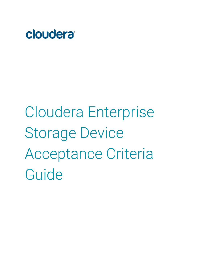

Cloudera Enterprise Storage Device Acceptance Criteria Guide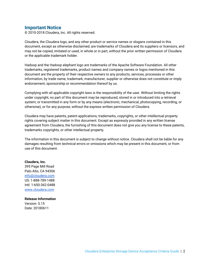## **Important Notice**

© 2010-2018 Cloudera, Inc. All rights reserved.

Cloudera, the Cloudera logo, and any other product or service names or slogans contained in this document, except as otherwise disclaimed, are trademarks of Cloudera and its suppliers or licensors, and may not be copied, imitated or used, in whole or in part, without the prior written permission of Cloudera or the applicable trademark holder.

Hadoop and the Hadoop elephant logo are trademarks of the Apache Software Foundation. All other trademarks, registered trademarks, product names and company names or logos mentioned in this document are the property of their respective owners to any products, services, processes or other information, by trade name, trademark, manufacturer, supplier or otherwise does not constitute or imply endorsement, sponsorship or recommendation thereof by us.

Complying with all applicable copyright laws is the responsibility of the user. Without limiting the rights under copyright, no part of this document may be reproduced, stored in or introduced into a retrieval system, or transmitted in any form or by any means (electronic, mechanical, photocopying, recording, or otherwise), or for any purpose, without the express written permission of Cloudera.

Cloudera may have patents, patent applications, trademarks, copyrights, or other intellectual property rights covering subject matter in this document. Except as expressly provided in any written license agreement from Cloudera, the furnishing of this document does not give you any license to these patents, trademarks copyrights, or other intellectual property.

The information in this document is subject to change without notice. Cloudera shall not be liable for any damages resulting from technical errors or omissions which may be present in this document, or from use of this document.

**Cloudera, Inc.** 395 Page Mill Road Palo Alto, CA 94306 [info@cloudera.com](mailto:info@cloudera.com) US: 1-888-789-1488 Intl: 1-650-362-0488 [www.cloudera.com](http://www.cloudera.com/)

**Release Information** Version: 5.15 Date: 20180611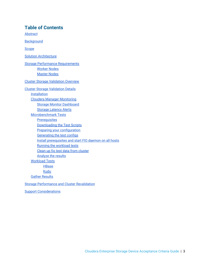# **Table of Contents**

[Abstract](#page-3-0)

**[Background](#page-4-0)** 

[Scope](#page-4-1)

Solution [Architecture](#page-5-0)

Storage Performance [Requirements](#page-6-0) [Worker](#page-6-1) Nodes [Master](#page-6-2) Nodes

Cluster Storage [Validation](#page-7-0) Overview

Cluster Storage [Validation](#page-7-1) Details [Installation](#page-7-2) Cloudera Manager [Monitoring](#page-7-3) Storage Monitor [Dashboard](#page-8-0) Storage [Latency](#page-10-0) Alerts [Microbenchmark](#page-12-0) Tests **[Prerequisites](#page-12-1)** [Downloading](#page-12-2) the Test Scripts Preparing your [configuration](#page-12-3) [Generating](#page-13-0) the test configs Install [prerequisites](#page-13-1) and start FIO daemon on all hosts Running the [workload](#page-14-0) tests Clean up fio test data from [cluster](#page-14-1) [Analyze](#page-14-2) the results [Workload](#page-16-0) Tests **[HBase](#page-16-1)** [Kudu](#page-17-0) Gather [Results](#page-18-0) Storage [Performance](#page-18-1) and Cluster Revalidation

Support [Considerations](#page-19-0)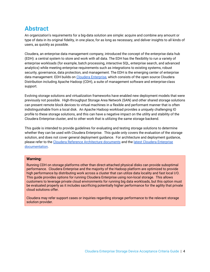# <span id="page-3-0"></span>**Abstract**

An organization's requirements for a big-data solution are simple: acquire and combine any amount or type of data in its original fidelity, in one place, for as long as necessary, and deliver insights to all kinds of users, as quickly as possible.

Cloudera, an enterprise data management company, introduced the concept of the enterprise data hub (EDH): a central system to store and work with all data. The EDH has the flexibility to run a variety of enterprise workloads (for example, batch processing, interactive SQL, enterprise search, and advanced analytics) while meeting enterprise requirements such as integrations to existing systems, robust security, governance, data protection, and management. The EDH is the emerging center of enterprise data management. EDH builds on Cloudera [Enterprise](https://www.cloudera.com/products.html), which consists of the open source Cloudera Distribution including Apache Hadoop (CDH), a suite of management software and enterprise-class support.

Evolving storage solutions and virtualization frameworks have enabled new deployment models that were previously not possible. High-throughput Storage Area Network (SAN) and other shared storage solutions can present remote block devices to virtual machines in a flexible and performant manner that is often indistinguishable from a local disk. An Apache Hadoop workload provides a uniquely challenging IO profile to these storage solutions, and this can have a negative impact on the utility and stability of the Cloudera Enterprise cluster, and to other work that is utilizing the same storage backend.

This guide is intended to provide guidelines for evaluating and testing storage solutions to determine whether they can be used with Cloudera Enterprise. This guide only covers the evaluation of the storage solution, and does not cover general deployment guidance. For architecture and deployment guidance, please refer to the Cloudera Reference [Architecture](http://www.cloudera.com/documentation/other/reference-architecture.html) documents and the latest Cloudera [Enterprise](https://www.cloudera.com/documentation.html) [documentation.](https://www.cloudera.com/documentation.html)

### **Warning:**

Running CDH on storage platforms other than direct-attached physical disks can provide suboptimal performance. Cloudera Enterprise and the majority of the Hadoop platform are optimized to provide high performance by distributing work across a cluster that can utilize data locality and fast local I/O. This guide provides options for running Cloudera Enterprise using non-local storage. This allows customers to leverage private cloud environments for running big data workloads, but this option must be evaluated properly as it includes sacrificing potentially higher performance for the agility that private cloud solutions offer.

Cloudera may refer support cases or inquiries regarding storage performance to the relevant storage solution provider.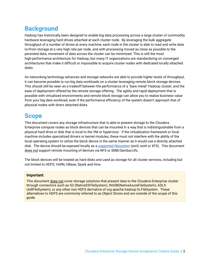# <span id="page-4-0"></span>**Background**

Hadoop has historically been designed to enable big data processing across a large cluster of commodity hardware leveraging hard drives attached at each cluster node. By leveraging the bulk aggregate throughput of a number of drives at every machine, each node in the cluster is able to read and write data to/from storage at a very high rate per node, and with processing moved as close as possible to the persisted data, movement of data across the cluster can be minimized. This is still the most high-performance architecture for Hadoop, but many IT organizations are standardizing on converged architectures that make it difficult or impossible to acquire cluster nodes with dedicated locally attached disks.

As networking technology advances and storage networks are able to provide higher levels of throughput, it can become possible to run big data workloads on a cluster leveraging remote block storage devices. This should still be seen as a tradeoff between the performance of a "bare metal" Hadoop cluster, and the ease of deployment offered by the remote storage offering. The agility and rapid deployment that is possible with virtualized environments and remote block storage can allow you to realize business value from your big data workload, even if the performance efficiency of the system doesn't approach that of physical nodes with direct attached disks.

# <span id="page-4-1"></span>**Scope**

This document covers any storage infrastructure that is able to present storage to the Cloudera Enterprise compute nodes as block devices that can be mounted in a way that is indistinguishable from a physical hard drive or disk that is local to the VM or hypervisor. If the virtualization framework or local machine includes specialized drivers or kernel modules, these must not interfere with the ability of the local operating system to utilize the block device in the same manner as it would use a directly attached disk. The device should be exposed locally as a supported [filesystem](https://www.cloudera.com/documentation/enterprise/release-notes/topics/rn_consolidated_pcm.html#install_cdh_file_system) (ext3, ext4 or XFS). This document does not support remote mounting of devices via NFS or SMB/Samba/cifs.

The block devices will be treated as hard disks and used as storage for all cluster services, including but not limited to HDFS, YARN, HBase, Spark and Hive.

### **Important:**

This document does not cover storage solutions that present data to the Cloudera Enterprise cluster through connectors such as S3 (NativeS3FileSystem), WASB(NativeAzureFileSystem), ADLS (AdlFileSystem), or any other non HDFS derivative of org.apache.hadoop.fs.FileSystem. These alternatives to HDFS are commonly referred to as Object Stores and are outside of the scope of this guide.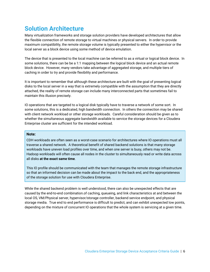# <span id="page-5-0"></span>**Solution Architecture**

Many virtualization frameworks and storage solution providers have developed architectures that allow the flexible connection of remote storage to virtual machines or physical servers. In order to provide maximum compatibility, the remote storage volume is typically presented to either the hypervisor or the local server as a block device using some method of device emulation.

The device that is presented to the local machine can be referred to as a virtual or logical block device. In some solutions, there can be be a 1:1 mapping between the logical block device and an actual remote block device. However, many vendors take advantage of aggregated storage, and multiple tiers of caching in order to try and provide flexibility and performance.

It is important to remember that although these architecture are built with the goal of presenting logical disks to the local server in a way that is extremely compatible with the assumption that they are directly attached, the reality of remote storage can include many interconnected parts that sometimes fail to maintain this illusion precisely.

IO operations that are targeted to a logical disk typically have to traverse a network of some sort. In some solutions, this is a dedicated, high bandwidth connection. In others the connection may be shared with client network workload or other storage workloads. Careful consideration should be given as to whether the simultaneous aggregate bandwidth available to service the storage devices for a Cloudera Enterprise cluster are sufficient for the intended workload.

#### **Note:**

CDH workloads are often seen as a worst-case scenario for architectures where IO operations must all traverse a shared network. A theoretical benefit of shared backend solutions is that many storage workloads have uneven load profiles over time, and when one server is busy, others may not be. Hadoop workloads will often cause all nodes in the cluster to simultaneously read or write data across all disks **at the exact same time**.

This IO profile should be communicated with the team that manages the remote storage infrastructure so that an informed decision can be made about the impact to the back end, and the appropriateness of the storage solution for use with Cloudera Enterprise.

While the shared backend problem is well understood, there can also be unexpected effects that are caused by the end-to-end combination.of caching, queueing, and link characteristics at and between the local OS, VM/Physical server, hypervisor/storage controller, backend service endpoint, and physical storage media. True end to end performance is difficult to predict, and can exhibit unexpected low points, depending on the mixture of concurrent IO operations that the whole system is servicing at a given time.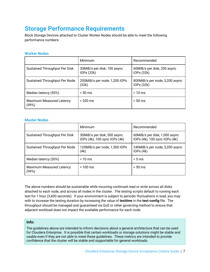# <span id="page-6-0"></span>**Storage Performance Requirements**

Block Storage Devices attached to Cluster Worker Nodes should be able to meet the following performance numbers:

### <span id="page-6-1"></span>**Worker Nodes**

|                                          | Minimum                                   | Recommended                                 |
|------------------------------------------|-------------------------------------------|---------------------------------------------|
| Sustained Throughput Per Disk            | 30MiB/s per disk, 100 async<br>IOPs (32k) | 60MiB/s per disk, 200 async<br>IOPs (32k)   |
| Sustained Throughput Per Node            | 200MiB/s per node, 1,200 IOPs<br>(32k)    | 800MiB/s per node, 3,200 async<br>IOPs(32k) |
| Median latency (50%)                     | $< 50 \text{ ms}$                         | $< 10 \text{ ms}$                           |
| <b>Maximum Measured Latency</b><br>(99%) | $< 200 \text{ ms}$                        | $< 50 \text{ ms}$                           |

### <span id="page-6-2"></span>**Master Nodes**

|                                          | Minimum                                                      | Recommended                                                    |
|------------------------------------------|--------------------------------------------------------------|----------------------------------------------------------------|
| Sustained Throughput Per Disk            | 30MiB/s per disk, 500 async<br>IOPs (4k), 100 sync IOPs (4k) | 60MiB/s per disk, 1,000 async<br>IOPs (4k), 100 sync IOPs (4k) |
| Sustained Throughput Per Node            | 120MiB/s per node, 1,500 IOPs<br>(4k)                        | 240MiB/s per node, 3,200 async<br>IOPs(4k)                     |
| Median latency (50%)                     | $< 10 \text{ ms}$                                            | < 5 ms                                                         |
| <b>Maximum Measured Latency</b><br>(99%) | $< 100$ ms                                                   | $< 50 \text{ ms}$                                              |

The above numbers should be sustainable while incurring continued read or write across all disks attached to each node, and across all nodes in the cluster. The testing scripts default to running each test for 1 hour (3,600 seconds). If your environment is subject to periodic fluctuations in load, you may with to increase the testing duration by increasing the value of *testtime* in the **test-config** file. The throughput should be managed and guaranteed via QoS or other governing method to ensure that adjacent workload does not impact the available performance for each node.

### **Info:**

The guidelines above are intended to inform decisions about a general architecture that can be used for Cloudera Enterprise. It is possible that certain workloads or storage solutions might be stable and usable even if they are not able to meet these guidelines. These metrics are intended to provide confidence that the cluster will be stable and supportable for general workloads.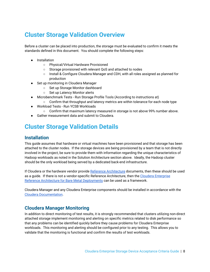# <span id="page-7-0"></span>**Cluster Storage Validation Overview**

Before a cluster can be placed into production, the storage must be evaluated to confirm it meets the standards defined in this document. You should complete the following steps:

- Installation
	- Physical/Virtual Hardware Provisioned
	- Storage provisioned with relevant QoS and attached to nodes
	- Install & Configure Cloudera Manager and CDH, with all roles assigned as planned for production
- Set up monitoring in Cloudera Manager
	- Set up Storage Monitor dashboard
	- Set up Latency Monitor alerts
- Microbenchmark Tests Run Storage Profile Tools (According to instructions at)
- Confirm that throughput and latency metrics are within tolerance for each node type
- Workload Tests Run YCSB Workloads
	- Confirm that maximum latency measured in storage is not above 99% number above.
- Gather measurement data and submit to Cloudera.

# <span id="page-7-1"></span>**Cluster Storage Validation Details**

## <span id="page-7-2"></span>**Installation**

This guide assumes that hardware or virtual machines have been provisioned and that storage has been attached to the cluster nodes. If the storage devices are being provisioned by a team that is not directly involved in the project, be sure to provide them with information regarding the unique characteristics of Hadoop workloads as noted in the Solution Architecture section above. Ideally, the Hadoop cluster should be the only workload being served by a dedicated back-end infrastructure.

If Cloudera or the hardware vendor provide Reference [Architecture](https://www.cloudera.com/documentation/other/reference-architecture.html) documents, then these should be used as a guide. If there is not a vendor-specific Reference Architecture, then the Cloudera [Enterprise](http://tiny.cloudera.com/metal-ra) Reference Architecture for Bare Metal [Deployments](http://tiny.cloudera.com/metal-ra) can be used as a framework.

Cloudera Manager and any Cloudera Enterprise components should be installed in accordance with the Cloudera [Documentation](https://www.cloudera.com/documentation.html).

# <span id="page-7-3"></span>**Cloudera Manager Monitoring**

In addition to direct monitoring of test results, it is strongly recommended that clusters utilizing non-direct attached storage implement monitoring and alerting on specific metrics related to disk performance so that any problems can be identified quickly before they cause problems for Cloudera Enterprise workloads. This monitoring and alerting should be configured prior to any testing. This allows you to validate that the monitoring is functional and confirm the results of test workloads.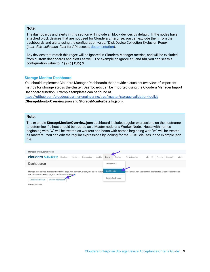#### **Note:**

The dashboards and alerts in this section will include all block devices by default. If the nodes have attached block devices that are not used for Cloudera Enterprise, you can exclude them from the dashboards and alerts using the configuration value: "Disk Device Collection Exclusion Regex" (*host\_disk\_collection\_filter* for API access, [documentation](https://www.cloudera.com/documentation/enterprise/properties/5-14-x/topics/cm_props.html)).

Any devices that match this regex will be ignored in Cloudera Manager metrics, and will be excluded from custom dashboards and alerts as well. For example, to ignore sr0 and fd0, you can set this configuration value to: **^(sr0|fd0)\$**

#### <span id="page-8-0"></span>**Storage Monitor Dashboard**

You should implement Cloudera Manager Dashboards that provide a succinct overview of important metrics for storage across the cluster. Dashboards can be imported using the Cloudera Manager Import Dashboard function. Example templates can be found at

<https://github.com/cloudera/partner-engineering/tree/master/storage-validation-toolkit>

(**StorageMonitorOverview.json** and **StorageMonitorDetails.json**).

#### **Note:**

The example **StorageMonitorOverview.json** dashboard includes regular expressions on the hostname to determine if a host should be treated as a Master node or a Worker Node. Hosts with names beginning with "w" will be treated as workers and hosts with names beginning with "m" will be treated as masters. You can edit the regular expressions by looking for the RLIKE clauses in the example json file.

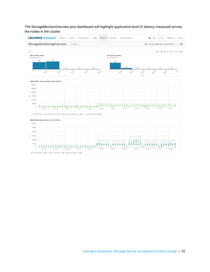The StorageMonitorOverview.json dashboard will highlight application-level IO latency measured across the nodes in the cluster.

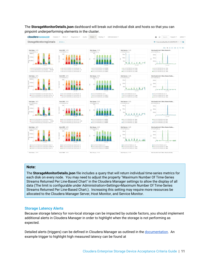

The **StorageMonitorDetails.json** dashboard will break out individual disk and hosts so that you can pinpoint underperforming elements in the cluster.

### **Note:**

The **StorageMonitorDetails.json** file includes a query that will return individual time-series metrics for each disk on every node. You may need to adjust the property "Maximum Number Of Time-Series Streams Returned Per Line-Based Chart" in the Cloudera Manager settings to allow the display of all data (The limit is configurable under Administration>Settings>Maximum Number Of Time-Series Streams Returned Per Line-Based Chart.). Increasing this setting may require more resources be allocated to the Cloudera Manager Server, Host Monitor, and Service Monitor.

### <span id="page-10-0"></span>**Storage Latency Alerts**

Because storage latency for non-local storage can be impacted by outside factors, you should implement additional alerts in Cloudera Manager in order to highlight when the storage is not performing as expected.

Detailed alerts (triggers) can be defined in Cloudera Manager as outlined in the [documentation.](https://www.cloudera.com/documentation/enterprise/latest/topics/cm_dg_triggers.html) An example trigger to highlight high measured latency can be found at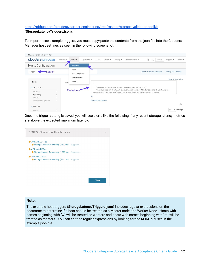<https://github.com/cloudera/partner-engineering/tree/master/storage-validation-toolkit> (**StorageLatencyTriggers.json**).

To import these example triggers, you must copy/paste the contents from the json file into the Cloudera Manager host settings as seen in the following screenshot:

| Managed by Cloudera Director |            |            |                                |                    |                         |          |                                                                                                                                                                               |                              |        |                             |                       |
|------------------------------|------------|------------|--------------------------------|--------------------|-------------------------|----------|-------------------------------------------------------------------------------------------------------------------------------------------------------------------------------|------------------------------|--------|-----------------------------|-----------------------|
| <b>Cloudera MANAGER</b>      |            | Clusters - | Hosts $\star$                  | Diagnostics $\sim$ | Audits<br>Charts $\sim$ | Backup - | Administration -                                                                                                                                                              | ä<br>$\sqrt{2}$              | Search | Support $\star$             | $admin -$             |
| <b>Hosts Configuration</b>   |            |            | All Hosts                      |                    |                         |          |                                                                                                                                                                               |                              |        |                             |                       |
| <b>Search</b><br>Trigger     |            |            | Roles<br><b>Host Templates</b> |                    |                         |          |                                                                                                                                                                               | Switch to the classic layout |        | <b>History and Rollback</b> |                       |
|                              |            |            | Disks Overview                 |                    |                         |          |                                                                                                                                                                               |                              |        |                             | Show All Descriptions |
| <b>Filters</b><br>CATEGORY   |            | Host       | Parcels                        |                    |                         |          | "triggerName": "DataNode Storage Latency Concerning (>200ms)",                                                                                                                |                              |        |                             |                       |
| Advanced                     | $^{\circ}$ |            | <b>Paste Here</b>              |                    |                         |          | "triggerExpression": "IF (SELECT await_time_across_disks WHERE hostname=\$HOSTNAME and<br>hostname RLIKE 'w*.' and max(await_time_across_disks) > 200) DO health:concerning", |                              |        |                             |                       |
| Monitoring                   |            |            |                                | C                  |                         |          |                                                                                                                                                                               |                              |        |                             |                       |
| Parcels                      | $\Omega$   |            |                                |                    |                         |          |                                                                                                                                                                               |                              |        |                             |                       |
| Resource Management          | $\circ$    |            |                                |                    | Manage Host Overrides   |          |                                                                                                                                                                               |                              |        |                             |                       |
| $\vee$ STATUS                |            |            |                                |                    |                         |          |                                                                                                                                                                               |                              |        |                             | (?)                   |
| <b>Q</b> Error               | $\circ$    |            |                                |                    |                         |          |                                                                                                                                                                               |                              |        | ÷<br>25                     | Per Page              |

Once the trigger setting is saved, you will see alerts like the following if any recent storage latency metrics are above the expected maximum latency.

| w74-26d90245.az                                                 |              |
|-----------------------------------------------------------------|--------------|
| Storage Latency Concerning (>200ms) Suppress                    |              |
| w74-fad8d13f.az<br>Storage Latency Concerning (>200ms) Suppress |              |
| w74-fdcc21fc.az<br>Storage Latency Concerning (>200ms) Suppress |              |
|                                                                 |              |
|                                                                 |              |
|                                                                 | <b>Close</b> |

#### **Note:**

The example host triggers (**StorageLatencyTriggers.json**) includes regular expressions on the hostname to determine if a host should be treated as a Master node or a Worker Node. Hosts with names beginning with "w" will be treated as workers and hosts with names beginning with "m" will be treated as masters. You can edit the regular expressions by looking for the RLIKE clauses in the example json file.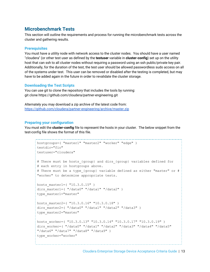# <span id="page-12-0"></span>**Microbenchmark Tests**

This section will outline the requirements and process for running the microbenchmark tests across the cluster and gathering results.

### <span id="page-12-1"></span>**Prerequisites**

You must have a utility node with network access to the cluster nodes. You should have a user named "cloudera" (or other test user as defined by the **testuser** variable in **cluster-config**) set up on the utility host that can ssh to all cluster nodes without requiring a password using an ssh public/private key pair. Additionally, for the duration of the test, the test user should be allowed passwordless sudo access on all of the systems under test. This user can be removed or disabled after the testing is completed, but may have to be added again in the future in order to revalidate the cluster storage.

### <span id="page-12-2"></span>**Downloading the Test Scripts**

You can use git to clone the repository that includes the tools by running: git clone https://github.com/cloudera/partner-engineering.git

Alternately you may download a zip archive of the latest code from: <https://github.com/cloudera/partner-engineering/archive/master.zip>

### <span id="page-12-3"></span>**Preparing your configuration**

You must edit the **cluster-config** file to represent the hosts in your cluster. The below snippet from the test-config file shows the format of this file.

```
hostgroups=( "master1" "master2" "worker" "edge" )
testdir="fio"
testuser="cloudera"
# There must be hosts {group} and dirs {group} variables defined for
# each entry in hostgroups above.
# There must be a type {group} variable defined as either "master" or #
"worker" to determine appropriate tests.
hosts master1=( "10.3.0.15" )
dirs master1=( "/data0" "/data1" "/data2" )
type_master1="master"
hosts master2=( "10.3.0.16" "10.3.0.18" )
dirs master2=( "/data0" "/data1" "/data2" "/data3" )
type_master2="master"
hosts worker=( "10.3.0.13" "10.3.0.14" "10.3.0.17" "10.3.0.19" )
dirs worker=( "/data0" "/data1" "/data2" "/data3" "/data4" "/data5"
"/data6" "/data7" "/data8" "/data9" )
type worker="worker"
```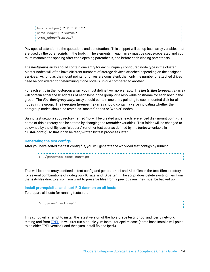```
hosts edge=( "10.3.0.12" )
dirs edge=( "/data0" )
type edge="master"
```
Pay special attention to the quotations and punctuation. This snippet will set up bash array variables that are used by the other scripts in the toolkit. The elements in each array must be space-separated and you must maintain the spacing after each opening parenthesis, and before each closing parenthesis.

The *hostgroups* array should contain one entry for each uniquely configured node type in the cluster. Master nodes will often have different numbers of storage devices attached depending on the assigned services. As long as the mount points for drives are consistent, then only the number of attached drives need be considered for determining if one node is unique compared to another.

For each entry in the hostgroup array, you must define two more arrays. The *hosts\_{hostgroupentry}* array will contain either the IP address of each host in the group, or a resolvable hostname for each host in the group. The *dirs\_{hostgroupentry}* array should contain one entry pointing to each mounted disk for all nodes in the group. The *type\_{hostgroupentry}* array should contain a value indicating whether the hostgroup nodes should be tested as "master" nodes or "worker" nodes.

During test setup, a subdirectory named 'fio' will be created under each referenced disk mount point (the name of this directory can be altered by changing the *testfolder* variable). This folder will be changed to be owned by the utility user "cloudera" (or other test user as defined by the *testuser* variable in **cluster-config**) so that it can be read/written by test processes later.

### <span id="page-13-0"></span>**Generating the test configs**

After you have edited the test-config file, you will generate the workload test configs by running:

| : \$ ./generate-test-configs |  |
|------------------------------|--|
|                              |  |
|                              |  |

This will load the arrays defined in test-config and generate \*.ini and \*.list files in the **test-files** directory for several combinations of nodegroup, IO size, and IO pattern. The script does delete existing files from the **test-files** directory, so if you want to preserve files from a previous run, they must be backed up.

#### <span id="page-13-1"></span>**Install prerequisites and start FIO daemon on all hosts**

To prepare all hosts for running tests, run:

| :\$ ./pre-fio-dir-all |  |
|-----------------------|--|
|                       |  |
|                       |  |
|                       |  |

This script will attempt to install the latest version of the fio storage testing tool and iperf3 network testing tool from [EPEL.](https://fedoraproject.org/wiki/EPEL) It will first run a double yum install for epel-release (some base installs will point to an older EPEL version), and then yum install fio and iperf3.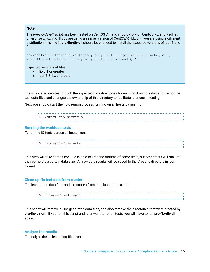#### **Note:**

The *pre-fio-dir-all* script has been tested on CentOS 7.4 and should work on CentOS 7.x and RedHat Enterprise Linux 7.x. If you are using an earlier version of CentOS/RHEL, or if you are using a different distribution, this line in **pre-fio-dir-all** should be changed to install the expected versions of iperf3 and fio:

```
commandlist="${commandlist}sudo yum -y install epel-release; sudo yum -y
install epel-release; sudo yum -y install fio iperf3; "
```
Expected versions of files:

- fio 3.1 or greater
- iperf3 3.1.x or greater

The script also iterates through the expected data directories for each host and creates a folder for the test data files and changes the ownership of this directory to facilitate later use in testing.

Next you should start the fio daemon process running on all hosts by running:

```
$ ./start-fio-server-all
```
#### <span id="page-14-0"></span>**Running the workload tests**

To run the IO tests across all hosts, run:

```
$ ./run-all-fio-tests
```
This step will take some time. Fio is able to limit the runtime of some tests, but other tests will run until they complete a certain data size. All raw data results will be saved to the ./results directory in json format.

#### <span id="page-14-1"></span>**Clean up fio test data from cluster**

To clean the fio data files and directories from the cluster nodes, run:

\$ ./clean-fio-dir-all 

This script will remove all fio-generated data files, and also remove the directories that were created by **pre-fio-dir-all**. If you run this script and later want to re-run tests, you will have to run **pre-fio-dir-all** again.

#### <span id="page-14-2"></span>**Analyze the results**

To analyze the collected log files, run: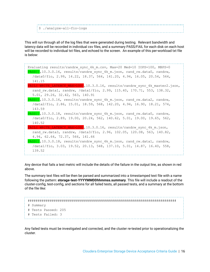| : \$ ./analyze-all-fio-logs |  |
|-----------------------------|--|
|                             |  |
|                             |  |

This will run through all of the log files that were generated during testing. Relevant bandwidth and latency data will be recorded in individual csv files, and a summary PASS/FAIL for each disk on each host will be recorded to individual txt files, and echoed to the screen. An example of this per-workload txt file is below:



Any device that fails a test metric will include the details of the failure in the output line, as shown in red above.

The summary text files will be then be parsed and summarized into a timestamped text file with a name following the pattern: **storage-test-YYYYMMDDhhmmss.summary**. This file will include a readout of the cluster-config, test-config, and sections for all failed tests, all passed tests, and a summary at the bottom of the file like:

```
##########################################################################
# Summary
# Tests Passed: 205
# Tests Failed: 3
```
Any failed tests must be investigated and corrected, and the cluster re-tested prior to operationalizing the cluster.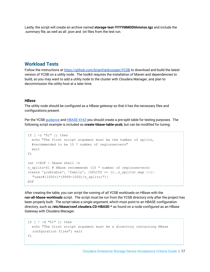Lastly, the script will create an archive named **storage-test-YYYYMMDDhhmmss.tgz** and include the .summary file, as well as all .json and .txt files from the test run.

## <span id="page-16-0"></span>**Workload Tests**

Follow the instructions at <https://github.com/brianfrankcooper/YCSB> to download and build the latest version of YCSB on a utility node. The toolkit requires the installation of Maven and dependencies to build, so you may want to add a utility node to the cluster with Cloudera Manager, and plan to decommission the utility host at a later time.

#### <span id="page-16-1"></span>*HBase*

The utility node should be configured as a HBase gateway so that it has the necessary files and configurations present.

Per the YCSB [guidance](https://github.com/brianfrankcooper/YCSB/tree/master/hbase098#3-create-a-hbase-table-for-testing) and **[HBASE-4163](https://issues.apache.org/jira/browse/HBASE-4163)** you should create a pre-split table for testing purposes. The following script example is included as **create-hbase-table-ycsb**, but can be modified for tuning:

```
if [ -z "$1" ]; then
  echo "The first script argument must be the number of splits,
  #recommended to be 10 * number of regionservers"
  exit
fi
cat <<EOF | hbase shell -n
n splits=$1 # HBase recommends (10 * number of regionservers)
create 'ycsbtable', 'family', {SPLITS => (1..n) splits).map {|i|
   "user#{1000+i*(9999-1000)/n_splits}"}}
EOF
```
After creating the table, you can script the running of all YCSB workloads on HBase with the **run-all-hbase-workloads** script. The script must be run from the YCSB directory only after the project has been properly built. The script takes a single argument, which must point to an HBASE configuration directory, such as **/etc/hbase/conf.cloudera.CD-HBASE-\*** as found on a node configured as an HBase Gateway with Cloudera Manager.

```
if [ ! -d "$1" ]; then
 echo "The first script argument must be a directory containing HBase
 confguration files"; exit
fi
```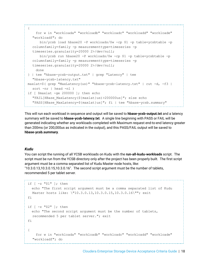```
{
    for w in "workloada" "workloadb" "workloadc" "workloadd" "workloade"
  "workloadf"; do
      bin/ycsb load hbase20 -P workloads/$w -cp $1 -p table=ycsbtable -p
  columnfamily=family -p measurementtype=timeseries -p
  timeseries.granularity=20000 2>/dev/null;
      bin/ycsb run hbase20 -P workloads/$w -cp $1 -p table=ycsbtable -p
  columnfamily=family -p measurementtype=timeseries -p
  timeseries.granularity=20000 2>/dev/null;
    done
} | tee "hbase-ycsb-output.txt" | grep "Latency" | tee
  "hbase-ycsb-latency.txt"
maxlat=$( grep "MaxLatency(us)" "hbase-ycsb-latency.txt" | cut -d, -f3 |
  sort -nr | head -n1 )
if \lceil $maxlat -qe 200000 \rceil; then echo
  "FAIL[HBase_MaxLatency(${maxlat}us)>200000us]"; else echo
  "PASS[HBase_MaxLatency=${maxlat}us]"; fi | tee "hbase-ycsb.summary"
```
This will run each workload in sequence and output will be saved to **hbase-ycsb-output.txt** and a latency summary will be saved to **hbase-ycsb-latency.txt**. A single line beginning with PASS or FAIL will be generated indicating whether any workloads completed with Maximum request end-to-end latency greater than 200ms (or 200,000us as indicated in the output), and this PASS/FAIL output will be saved to **hbase-ycsb.summary**.

### <span id="page-17-0"></span>*Kudu*

You can script the running of all YCSB workloads on Kudu with the **run-all-kudu-workloads** script. The script must be run from the YCSB directory only after the project has been properly built. The first script argument must be a comma separated list of Kudu Master node hosts, like: "10.3.0.13,10.3.0.15,10.3.0.16". The second script argument must be the number of tablets, recommended 5 per tablet server.

```
if \lceil -z \rceil "\frac{1}{7} ", then
  echo "The first script argument must be a comma separated list of Kudu
  Master hosts like: \"10.3.0.13,10.3.0.15,10.3.0.16\""; exit
fi
if [ -z "$2" ]; then
  echo "The second script argument must be the number of tablets,
  recommended 5 per tablet server."; exit
fi
{
    for w in "workloada" "workloadb" "workloadc" "workloadd" "workloade"
  "workloadf"; do
```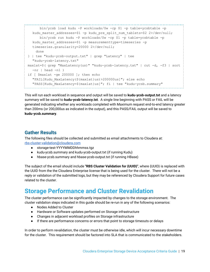```
bin/ycsb load kudu -P workloads/$w -cp $1 -p table=ycsbtable -p
  kudu master addresses=$1 -p kudu pre split num tablets=$2 2>/dev/null;
      bin/ycsb run kudu -P workloads/$w -cp $1 -p table=ycsbtable -p
  kudu master addresses=$1 -p measurementtype=timeseries -p
  timeseries.granularity=20000 2>/dev/null;
    done
} | tee "kudu-ycsb-output.txt" | grep "Latency" | tee
  "kudu-ycsb-latency.txt"
maxlat=$( grep "MaxLatency(us)" "kudu-ycsb-latency.txt" | cut -d, -f3 | sort
  -nr | head -n1 )
if [ $maxlat -ge 200000 ]; then echo
  "FAIL[Kudu_MaxLatency(${maxlat}us)>200000us]"; else echo
  "PASS[Kudu_MaxLatency=${maxlat}us]"; fi | tee "kudu-ycsb.summary"
```
This will run each workload in sequence and output will be saved to **kudu-ycsb-output.txt** and a latency summary will be saved to **kudu-ycsb-latency.txt**. A single line beginning with PASS or FAIL will be generated indicating whether any workloads completed with Maximum request end-to-end latency greater than 200ms (or 200,000us as indicated in the output), and this PASS/FAIL output will be saved to **kudu-ycsb.summary**.

# <span id="page-18-0"></span>**Gather Results**

The following files should be collected and submitted as email attachments to Cloudera at: [rbs-cluster-validation@cloudera.com](mailto:rbs-cluster-validation@cloudera.com)

- storage-test-YYYYMMDDhhmmss.tgz
- kudu-ycsb.summary and kudu-ycsb-output.txt (if running Kudu)
- hbase-ycsb.summary and hbase-ycsb-output.txt (if running HBase)

The subject of the email should include **"RBS Cluster Validation for {UUID}"**, where {UUID} is replaced with the UUID from the the Cloudera Enterprise license that is being used for the cluster. There will not be a reply or validation of the submitted logs, but they may be referenced by Cloudera Support for future cases related to the cluster.

# <span id="page-18-1"></span>**Storage Performance and Cluster Revalidation**

The cluster performance can be significantly impacted by changes to the storage environment. The cluster validation steps indicated in this guide should be re-run in any of the following scenarios:

- Nodes Added to Cluster
- Hardware or Software updates performed on Storage infrastructure
- Changes in adjacent workload profiles on Storage infrastructure
- If there are performance concerns or errors that point to storage timeouts or delays

In order to perform revalidation, the cluster must be otherwise idle, which will incur necessary downtime for the cluster. This requirement should be factored into SLA that is communicated to the stakeholders.